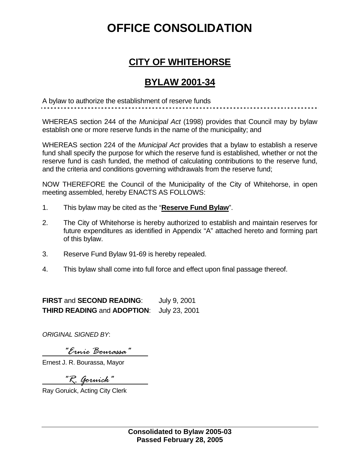## **OFFICE CONSOLIDATION**

## **CITY OF WHITEHORSE**

## **BYLAW 2001-34**

A bylaw to authorize the establishment of reserve funds

WHEREAS section 244 of the *Municipal Act* (1998) provides that Council may by bylaw establish one or more reserve funds in the name of the municipality; and

WHEREAS section 224 of the *Municipal Act* provides that a bylaw to establish a reserve fund shall specify the purpose for which the reserve fund is established, whether or not the reserve fund is cash funded, the method of calculating contributions to the reserve fund, and the criteria and conditions governing withdrawals from the reserve fund;

NOW THEREFORE the Council of the Municipality of the City of Whitehorse, in open meeting assembled, hereby ENACTS AS FOLLOWS:

- 1. This bylaw may be cited as the "**Reserve Fund Bylaw**".
- 2. The City of Whitehorse is hereby authorized to establish and maintain reserves for future expenditures as identified in Appendix "A" attached hereto and forming part of this bylaw.
- 3. Reserve Fund Bylaw 91-69 is hereby repealed.
- 4. This bylaw shall come into full force and effect upon final passage thereof.

**FIRST** and **SECOND READING**: July 9, 2001 **THIRD READING** and **ADOPTION**: July 23, 2001

*ORIGINAL SIGNED BY*:

 *"Ernie Bourassa"* 

Ernest J. R. Bourassa, Mayor

 *"R. Goruick"* 

Ray Goruick, Acting City Clerk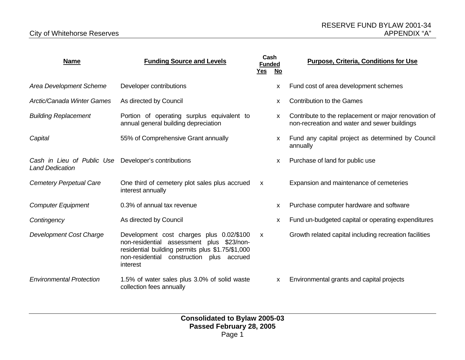| <b>Name</b>                                                                    | <b>Funding Source and Levels</b>                                                                                                                                                                   | Cash<br><b>Funded</b><br><u>Yes</u> | <u>No</u>    | <b>Purpose, Criteria, Conditions for Use</b>                                                         |  |
|--------------------------------------------------------------------------------|----------------------------------------------------------------------------------------------------------------------------------------------------------------------------------------------------|-------------------------------------|--------------|------------------------------------------------------------------------------------------------------|--|
| <b>Area Development Scheme</b>                                                 | Developer contributions                                                                                                                                                                            |                                     | X            | Fund cost of area development schemes                                                                |  |
| <b>Arctic/Canada Winter Games</b>                                              | As directed by Council                                                                                                                                                                             |                                     | X            | <b>Contribution to the Games</b>                                                                     |  |
| <b>Building Replacement</b>                                                    | Portion of operating surplus equivalent to<br>annual general building depreciation                                                                                                                 |                                     | $\mathsf{x}$ | Contribute to the replacement or major renovation of<br>non-recreation and water and sewer buildings |  |
| Capital                                                                        | 55% of Comprehensive Grant annually                                                                                                                                                                |                                     | $\mathsf{x}$ | Fund any capital project as determined by Council<br>annually                                        |  |
| Cash in Lieu of Public Use Developer's contributions<br><b>Land Dedication</b> |                                                                                                                                                                                                    |                                     | X            | Purchase of land for public use                                                                      |  |
| Cemetery Perpetual Care                                                        | One third of cemetery plot sales plus accrued<br>interest annually                                                                                                                                 | $\mathsf{x}$                        |              | Expansion and maintenance of cemeteries                                                              |  |
| <b>Computer Equipment</b>                                                      | 0.3% of annual tax revenue                                                                                                                                                                         |                                     | x            | Purchase computer hardware and software                                                              |  |
| Contingency                                                                    | As directed by Council                                                                                                                                                                             |                                     | $\mathsf{x}$ | Fund un-budgeted capital or operating expenditures                                                   |  |
| <b>Development Cost Charge</b>                                                 | Development cost charges plus 0.02/\$100<br>non-residential assessment plus \$23/non-<br>residential building permits plus \$1.75/\$1,000<br>non-residential construction plus accrued<br>interest | $\boldsymbol{\mathsf{x}}$           |              | Growth related capital including recreation facilities                                               |  |
| <b>Environmental Protection</b>                                                | 1.5% of water sales plus 3.0% of solid waste<br>collection fees annually                                                                                                                           |                                     | X            | Environmental grants and capital projects                                                            |  |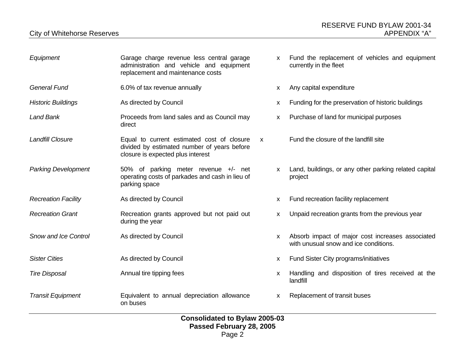| Equipment                   | Garage charge revenue less central garage<br>administration and vehicle and equipment<br>replacement and maintenance costs                     | X            | Fund the replacement of vehicles and equipment<br>currently in the fleet                  |
|-----------------------------|------------------------------------------------------------------------------------------------------------------------------------------------|--------------|-------------------------------------------------------------------------------------------|
| <b>General Fund</b>         | 6.0% of tax revenue annually                                                                                                                   | X            | Any capital expenditure                                                                   |
| <b>Historic Buildings</b>   | As directed by Council                                                                                                                         | X            | Funding for the preservation of historic buildings                                        |
| <b>Land Bank</b>            | Proceeds from land sales and as Council may<br>direct                                                                                          | X            | Purchase of land for municipal purposes                                                   |
| <b>Landfill Closure</b>     | Equal to current estimated cost of closure<br>$\mathsf{x}$<br>divided by estimated number of years before<br>closure is expected plus interest |              | Fund the closure of the landfill site                                                     |
| <b>Parking Development</b>  | 50% of parking meter revenue +/- net<br>operating costs of parkades and cash in lieu of<br>parking space                                       | $\mathsf{x}$ | Land, buildings, or any other parking related capital<br>project                          |
| <b>Recreation Facility</b>  | As directed by Council                                                                                                                         | X            | Fund recreation facility replacement                                                      |
| <b>Recreation Grant</b>     | Recreation grants approved but not paid out<br>during the year                                                                                 | X            | Unpaid recreation grants from the previous year                                           |
| <b>Snow and Ice Control</b> | As directed by Council                                                                                                                         | X            | Absorb impact of major cost increases associated<br>with unusual snow and ice conditions. |
| <b>Sister Cities</b>        | As directed by Council                                                                                                                         | X            | Fund Sister City programs/initiatives                                                     |
| <b>Tire Disposal</b>        | Annual tire tipping fees                                                                                                                       | X            | Handling and disposition of tires received at the<br>landfill                             |
| <b>Transit Equipment</b>    | Equivalent to annual depreciation allowance<br>on buses                                                                                        | $\mathsf{x}$ | Replacement of transit buses                                                              |